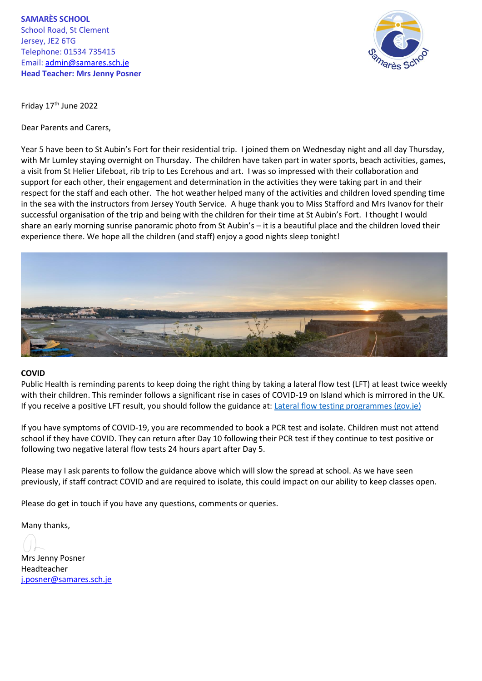**SAMARÈS SCHOOL** School Road, St Clement Jersey, JE2 6TG Telephone: 01534 735415 Email: [admin@samares.sch.je](mailto:admin@samares.sch.je) **Head Teacher: Mrs Jenny Posner**



Friday 17<sup>th</sup> June 2022

Dear Parents and Carers,

Year 5 have been to St Aubin's Fort for their residential trip. I joined them on Wednesday night and all day Thursday, with Mr Lumley staying overnight on Thursday. The children have taken part in water sports, beach activities, games, a visit from St Helier Lifeboat, rib trip to Les Ecrehous and art. I was so impressed with their collaboration and support for each other, their engagement and determination in the activities they were taking part in and their respect for the staff and each other. The hot weather helped many of the activities and children loved spending time in the sea with the instructors from Jersey Youth Service. A huge thank you to Miss Stafford and Mrs Ivanov for their successful organisation of the trip and being with the children for their time at St Aubin's Fort. I thought I would share an early morning sunrise panoramic photo from St Aubin's – it is a beautiful place and the children loved their experience there. We hope all the children (and staff) enjoy a good nights sleep tonight!



## **COVID**

Public Health is reminding parents to keep doing the right thing by taking a lateral flow test (LFT) at least twice weekly with their children. This reminder follows a significant rise in cases of COVID-19 on Island which is mirrored in the UK. If you receive a positive LFT result, you should follow the guidance at: [Lateral flow testing programmes \(gov.je\)](https://eur02.safelinks.protection.outlook.com/?url=https%3A%2F%2Fwww.gov.je%2Fhealth%2Fcoronavirus%2Ftesting%2Fpages%2Flateralflowtesting.aspx&data=05%7C01%7C%7C8c64b21a16f149abfa3508da4fb15c1a%7C2b5615117ddf495c8164f56ae776c54a%7C0%7C0%7C637909922203386284%7CUnknown%7CTWFpbGZsb3d8eyJWIjoiMC4wLjAwMDAiLCJQIjoiV2luMzIiLCJBTiI6Ik1haWwiLCJXVCI6Mn0%3D%7C3000%7C%7C%7C&sdata=gDbYkNwhmLH1hZ2Xne3lcF4O4W09uMjXUcJCtjnBuPc%3D&reserved=0)

If you have symptoms of COVID-19, you are recommended to book a PCR test and isolate. Children must not attend school if they have COVID. They can return after Day 10 following their PCR test if they continue to test positive or following two negative lateral flow tests 24 hours apart after Day 5.

Please may I ask parents to follow the guidance above which will slow the spread at school. As we have seen previously, if staff contract COVID and are required to isolate, this could impact on our ability to keep classes open.

Please do get in touch if you have any questions, comments or queries.

Many thanks,

Mrs Jenny Posner Headteacher [j.posner@samares.sch.je](mailto:j.posner@samares.sch.je)